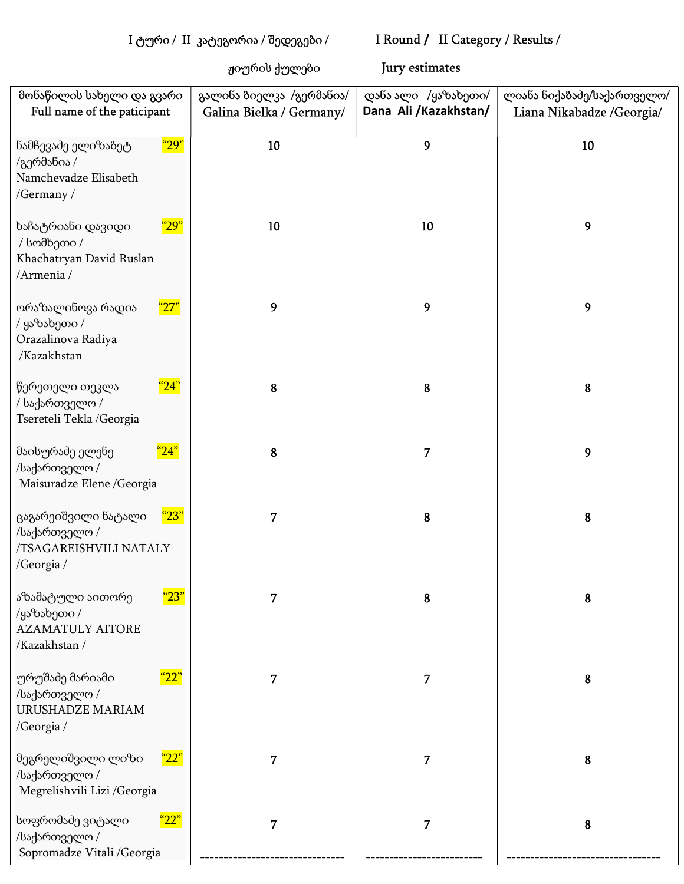## I ტური / II კატეგორია / შედეგები / I Round / II Category / Results /

ჟიურის ქულები Jury estimates

| მონაწილის სახელი და გვარი<br>Full name of the paticipant                                         | გალინა ბიელკა /გერმანია/<br>Galina Bielka / Germany/ | დანა ალი /ყაზახეთი/<br>Dana Ali /Kazakhstan/ | ლიანა ნიქაბაძე/საქართველო/<br>Liana Nikabadze /Georgia/ |
|--------------------------------------------------------------------------------------------------|------------------------------------------------------|----------------------------------------------|---------------------------------------------------------|
| <mark>"29"</mark><br>ნამჩევაძე ელიზაბეტ<br>/გერმანია /<br>Namchevadze Elisabeth<br>/Germany /    | 10                                                   | $\mathbf{9}$                                 | 10                                                      |
| <mark>"29"</mark><br>ხაჩატრიანი დავიდი<br>/ სომხეთი /<br>Khachatryan David Ruslan<br>/Armenia /  | 10                                                   | 10                                           | 9                                                       |
| <u>"27"</u><br>ორაზალინოვა რადია<br>/ ყაზახეთი /<br>Orazalinova Radiya<br>/Kazakhstan            | 9                                                    | $\mathbf{9}$                                 | $\mathbf{9}$                                            |
| "24"<br>წერეთელი თეკლა<br>/ საქართველო /<br>Tsereteli Tekla / Georgia                            | 8                                                    | 8                                            | ${\bf 8}$                                               |
| "24"<br>მაისურაძე ელენე<br>/საქართველო /<br>Maisuradze Elene /Georgia                            | 8                                                    | 7                                            | $\boldsymbol{9}$                                        |
| "23"<br>ცაგარეიშვილი ნატალი<br>/საქართველო /<br>/TSAGAREISHVILI NATALY<br>/Georgia /             | 7                                                    | ${\bf 8}$                                    | 8                                                       |
| <mark>"23"</mark><br>აზამატული აითორე<br>/ყაზახეთი /<br><b>AZAMATULY AITORE</b><br>/Kazakhstan / | 7                                                    | 8                                            | 8                                                       |
| <mark>"22"</mark><br>ურუშაძე მარიამი<br>/საქართველო /<br>URUSHADZE MARIAM<br>/Georgia /          | 7                                                    | 7                                            | 8                                                       |
| <u>"22"</u><br>მეგრელიშვილი ლიზი<br>/საქართველო /<br>Megrelishvili Lizi /Georgia                 | 7                                                    | 7                                            | 8                                                       |
| <mark>"22"</mark><br>სოფრომაძე ვიტალი<br>/საქართველო /<br>Sopromadze Vitali / Georgia            | 7                                                    | 7                                            | 8                                                       |